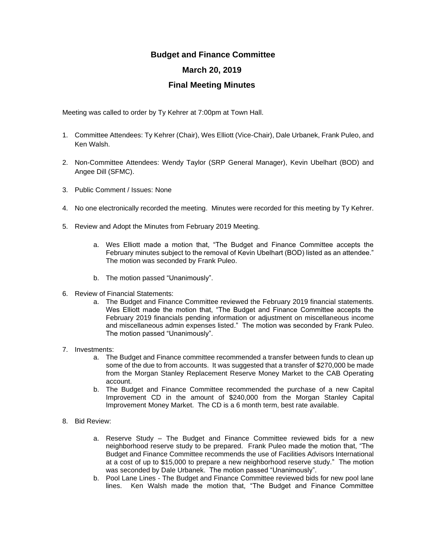## **Budget and Finance Committee March 20, 2019**

## **Final Meeting Minutes**

Meeting was called to order by Ty Kehrer at 7:00pm at Town Hall.

- 1. Committee Attendees: Ty Kehrer (Chair), Wes Elliott (Vice-Chair), Dale Urbanek, Frank Puleo, and Ken Walsh.
- 2. Non-Committee Attendees: Wendy Taylor (SRP General Manager), Kevin Ubelhart (BOD) and Angee Dill (SFMC).
- 3. Public Comment / Issues: None
- 4. No one electronically recorded the meeting. Minutes were recorded for this meeting by Ty Kehrer.
- 5. Review and Adopt the Minutes from February 2019 Meeting.
	- a. Wes Elliott made a motion that, "The Budget and Finance Committee accepts the February minutes subject to the removal of Kevin Ubelhart (BOD) listed as an attendee." The motion was seconded by Frank Puleo.
	- b. The motion passed "Unanimously".
- 6. Review of Financial Statements:
	- a. The Budget and Finance Committee reviewed the February 2019 financial statements. Wes Elliott made the motion that, "The Budget and Finance Committee accepts the February 2019 financials pending information or adjustment on miscellaneous income and miscellaneous admin expenses listed." The motion was seconded by Frank Puleo. The motion passed "Unanimously".
- 7. Investments:
	- a. The Budget and Finance committee recommended a transfer between funds to clean up some of the due to from accounts. It was suggested that a transfer of \$270,000 be made from the Morgan Stanley Replacement Reserve Money Market to the CAB Operating account.
	- b. The Budget and Finance Committee recommended the purchase of a new Capital Improvement CD in the amount of \$240,000 from the Morgan Stanley Capital Improvement Money Market. The CD is a 6 month term, best rate available.
- 8. Bid Review:
	- a. Reserve Study The Budget and Finance Committee reviewed bids for a new neighborhood reserve study to be prepared. Frank Puleo made the motion that, "The Budget and Finance Committee recommends the use of Facilities Advisors International at a cost of up to \$15,000 to prepare a new neighborhood reserve study." The motion was seconded by Dale Urbanek. The motion passed "Unanimously".
	- b. Pool Lane Lines The Budget and Finance Committee reviewed bids for new pool lane lines. Ken Walsh made the motion that, "The Budget and Finance Committee